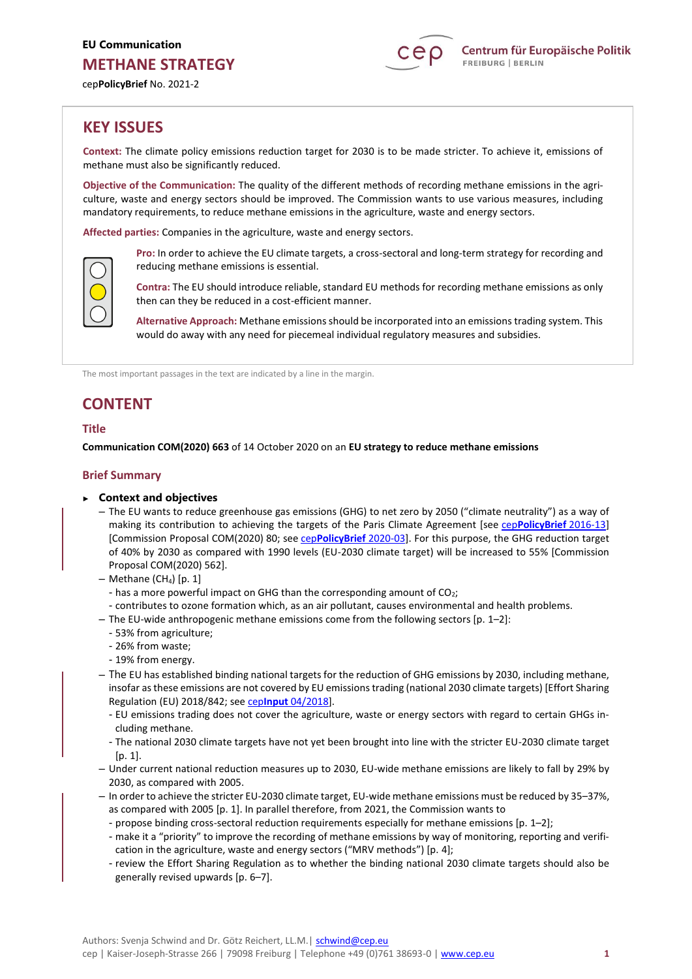

cep**PolicyBrief** No. 2021-2

# **KEY ISSUES**

**Context:** The climate policy emissions reduction target for 2030 is to be made stricter. To achieve it, emissions of methane must also be significantly reduced.

**Objective of the Communication:** The quality of the different methods of recording methane emissions in the agriculture, waste and energy sectors should be improved. The Commission wants to use various measures, including mandatory requirements, to reduce methane emissions in the agriculture, waste and energy sectors.

**Affected parties:** Companies in the agriculture, waste and energy sectors.



**Pro:** In order to achieve the EU climate targets, a cross-sectoral and long-term strategy for recording and reducing methane emissions is essential.

**Contra:** The EU should introduce reliable, standard EU methods for recording methane emissions as only then can they be reduced in a cost-efficient manner.

**Alternative Approach:** Methane emissions should be incorporated into an emissions trading system. This would do away with any need for piecemeal individual regulatory measures and subsidies.

The most important passages in the text are indicated by a line in the margin.

# **CONTENT**

# **Title**

**Communication COM(2020) 663** of 14 October 2020 on an **EU strategy to reduce methane emissions**

# **Brief Summary**

- ► **Context and objectives**
	- The EU wants to reduce greenhouse gas emissions (GHG) to net zero by 2050 ("climate neutrality") as a way of making its contribution to achieving the targets of the Paris Climate Agreement [see cep**[PolicyBrief](https://www.cep.eu/en/eu-topics/details/cep/implementing-the-paris-agreement-on-climate-change-communication.html)** 2016-13] [Commission Proposal COM(2020) 80; see cep**[PolicyBrief](https://www.cep.eu/en/eu-topics/details/cep/european-climate-law-ceppolicybrief-to-com2020-80.html)** 2020-03]. For this purpose, the GHG reduction target of 40% by 2030 as compared with 1990 levels (EU-2030 climate target) will be increased to 55% [Commission Proposal COM(2020) 562].
	- $-$  Methane (CH<sub>4</sub>) [p. 1]
		- has a more powerful impact on GHG than the corresponding amount of  $CO<sub>2</sub>$ ;
	- contributes to ozone formation which, as an air pollutant, causes environmental and health problems.
	- The EU-wide anthropogenic methane emissions come from the following sectors  $[p. 1-2]$ :
		- 53% from agriculture;
		- 26% from waste;
		- 19% from energy.
	- The EU has established binding national targets for the reduction of GHG emissions by 2030, including methane, insofar as these emissions are not covered by EU emissions trading (national 2030 climate targets) [Effort Sharing Regulation (EU) 2018/842; see cep**Input** [04/2018\]](https://www.cep.eu/en/eu-topics/details/cep/climate-protection-outside-the-eu-ets.html).
		- EU emissions trading does not cover the agriculture, waste or energy sectors with regard to certain GHGs including methane.
		- The national 2030 climate targets have not yet been brought into line with the stricter EU-2030 climate target [p. 1].
	- Under current national reduction measures up to 2030, EU-wide methane emissions are likely to fall by 29% by 2030, as compared with 2005.
	- In order to achieve the stricter EU-2030 climate target, EU-wide methane emissions must be reduced by 35–37%, as compared with 2005 [p. 1]. In parallel therefore, from 2021, the Commission wants to
		- propose binding cross-sectoral reduction requirements especially for methane emissions [p. 1–2];
		- make it a "priority" to improve the recording of methane emissions by way of monitoring, reporting and verification in the agriculture, waste and energy sectors ("MRV methods") [p. 4];
		- review the Effort Sharing Regulation as to whether the binding national 2030 climate targets should also be generally revised upwards [p. 6–7].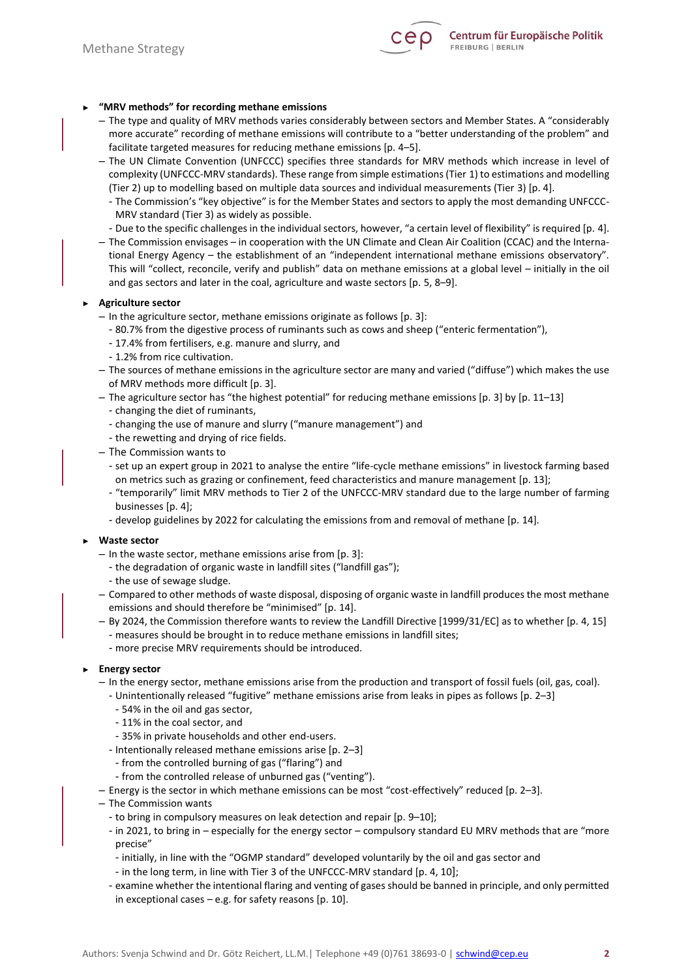

# ► **"MRV methods" for recording methane emissions**

- The type and quality of MRV methods varies considerably between sectors and Member States. A "considerably more accurate" recording of methane emissions will contribute to a "better understanding of the problem" and facilitate targeted measures for reducing methane emissions [p. 4–5].
- The UN Climate Convention (UNFCCC) specifies three standards for MRV methods which increase in level of complexity (UNFCCC-MRV standards). These range from simple estimations (Tier 1) to estimations and modelling (Tier 2) up to modelling based on multiple data sources and individual measurements (Tier 3) [p. 4].
	- The Commission's "key objective" is for the Member States and sectors to apply the most demanding UNFCCC-MRV standard (Tier 3) as widely as possible.
	- Due to the specific challenges in the individual sectors, however, "a certain level of flexibility" is required [p. 4].
- The Commission envisages in cooperation with the UN Climate and Clean Air Coalition (CCAC) and the International Energy Agency – the establishment of an "independent international methane emissions observatory". This will "collect, reconcile, verify and publish" data on methane emissions at a global level – initially in the oil and gas sectors and later in the coal, agriculture and waste sectors [p. 5, 8–9].

#### ► **Agriculture sector**

- In the agriculture sector, methane emissions originate as follows [p. 3]:
	- 80.7% from the digestive process of ruminants such as cows and sheep ("enteric fermentation"),
	- 17.4% from fertilisers, e.g. manure and slurry, and
	- 1.2% from rice cultivation.
- The sources of methane emissions in the agriculture sector are many and varied ("diffuse") which makes the use of MRV methods more difficult [p. 3].
- The agriculture sector has "the highest potential" for reducing methane emissions [p. 3] by [p. 11–13]
	- changing the diet of ruminants,
	- changing the use of manure and slurry ("manure management") and
	- the rewetting and drying of rice fields.
- The Commission wants to
	- set up an expert group in 2021 to analyse the entire "life-cycle methane emissions" in livestock farming based on metrics such as grazing or confinement, feed characteristics and manure management [p. 13];
	- "temporarily" limit MRV methods to Tier 2 of the UNFCCC-MRV standard due to the large number of farming businesses [p. 4];
	- develop guidelines by 2022 for calculating the emissions from and removal of methane [p. 14].
- ► **Waste sector**
	- In the waste sector, methane emissions arise from [p. 3]:
		- the degradation of organic waste in landfill sites ("landfill gas");
		- the use of sewage sludge.
	- Compared to other methods of waste disposal, disposing of organic waste in landfill produces the most methane emissions and should therefore be "minimised" [p. 14].
	- By 2024, the Commission therefore wants to review the Landfill Directive [1999/31/EC] as to whether [p. 4, 15]
		- measures should be brought in to reduce methane emissions in landfill sites;
		- more precise MRV requirements should be introduced*.*
- ► **Energy sector**
	- In the energy sector, methane emissions arise from the production and transport of fossil fuels (oil, gas, coal).
		- Unintentionally released "fugitive" methane emissions arise from leaks in pipes as follows [p. 2–3]
			- 54% in the oil and gas sector,
			- 11% in the coal sector, and
			- 35% in private households and other end-users.
		- Intentionally released methane emissions arise [p. 2–3]
			- from the controlled burning of gas ("flaring") and
		- from the controlled release of unburned gas ("venting").
	- Energy is the sector in which methane emissions can be most "cost-effectively" reduced [p. 2–3].
	- The Commission wants
		- to bring in compulsory measures on leak detection and repair [p. 9–10];
		- in 2021, to bring in especially for the energy sector compulsory standard EU MRV methods that are "more precise"
			- initially, in line with the "OGMP standard" developed voluntarily by the oil and gas sector and
			- in the long term, in line with Tier 3 of the UNFCCC-MRV standard [p. 4, 10];
		- examine whether the intentional flaring and venting of gases should be banned in principle, and only permitted in exceptional cases  $-$  e.g. for safety reasons [p. 10].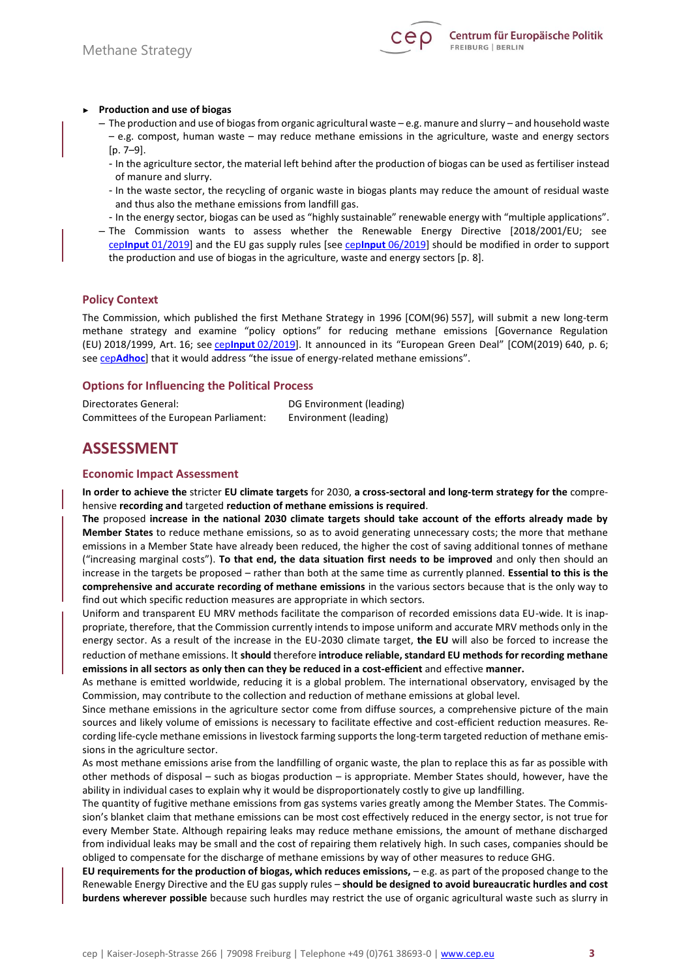

#### ► **Production and use of biogas**

- The production and use of biogas from organic agricultural waste e.g. manure and slurry and household waste – e.g. compost, human waste – may reduce methane emissions in the agriculture, waste and energy sectors [p. 7–9].
	- In the agriculture sector, the material left behind after the production of biogas can be used as fertiliser instead of manure and slurry.
	- In the waste sector, the recycling of organic waste in biogas plants may reduce the amount of residual waste and thus also the methane emissions from landfill gas.
	- In the energy sector, biogas can be used as "highly sustainable" renewable energy with "multiple applications".
- The Commission wants to assess whether the Renewable Energy Directive [2018/2001/EU; see cep**Input** [01/2019\]](https://www.cep.eu/en/eu-topics/details/cep/renewable-energy-in-the-eu.html) and the EU gas supply rules [see cep**Input** [06/2019\]](https://www.cep.eu/en/eu-topics/details/cep/gas-supply-in-the-eu.html) should be modified in order to support the production and use of biogas in the agriculture, waste and energy sectors [p. 8].

# **Policy Context**

The Commission, which published the first Methane Strategy in 1996 [COM(96) 557], will submit a new long-term methane strategy and examine "policy options" for reducing methane emissions [Governance Regulation (EU) 2018/1999, Art. 16; see cep**Input** [02/2019\]](https://www.cep.eu/en/eu-topics/details/cep/governance-of-the-energy-union.html). It announced in its "European Green Deal" [COM(2019) 640, p. 6; see cep**[Adhoc](https://www.cep.eu/en/eu-topics/details/cep/arbeitsauftraege-von-der-leyens-an-die-neue-eu-kommission-teil-2-ein-europaeischer-gruener-deal.html)**] that it would address "the issue of energy-related methane emissions".

#### **Options for Influencing the Political Process**

| Directorates General:                  | DG Environment (leading) |
|----------------------------------------|--------------------------|
| Committees of the European Parliament: | Environment (leading)    |

# **ASSESSMENT**

#### **Economic Impact Assessment**

**In order to achieve the** stricter **EU climate targets** for 2030, **a cross-sectoral and long-term strategy for the** comprehensive **recording and** targeted **reduction of methane emissions is required**.

**The** proposed **increase in the national 2030 climate targets should take account of the efforts already made by Member States** to reduce methane emissions, so as to avoid generating unnecessary costs; the more that methane emissions in a Member State have already been reduced, the higher the cost of saving additional tonnes of methane ("increasing marginal costs"). **To that end, the data situation first needs to be improved** and only then should an increase in the targets be proposed – rather than both at the same time as currently planned. **Essential to this is the comprehensive and accurate recording of methane emissions** in the various sectors because that is the only way to find out which specific reduction measures are appropriate in which sectors.

Uniform and transparent EU MRV methods facilitate the comparison of recorded emissions data EU-wide. It is inappropriate, therefore, that the Commission currently intends to impose uniform and accurate MRV methods only in the energy sector. As a result of the increase in the EU-2030 climate target, **the EU** will also be forced to increase the reduction of methane emissions. It **should** therefore **introduce reliable, standard EU methods for recording methane emissions in all sectors as only then can they be reduced in a cost-efficient** and effective **manner.** 

As methane is emitted worldwide, reducing it is a global problem. The international observatory, envisaged by the Commission, may contribute to the collection and reduction of methane emissions at global level.

Since methane emissions in the agriculture sector come from diffuse sources, a comprehensive picture of the main sources and likely volume of emissions is necessary to facilitate effective and cost-efficient reduction measures. Recording life-cycle methane emissions in livestock farming supports the long-term targeted reduction of methane emissions in the agriculture sector.

As most methane emissions arise from the landfilling of organic waste, the plan to replace this as far as possible with other methods of disposal – such as biogas production – is appropriate. Member States should, however, have the ability in individual cases to explain why it would be disproportionately costly to give up landfilling.

The quantity of fugitive methane emissions from gas systems varies greatly among the Member States. The Commission's blanket claim that methane emissions can be most cost effectively reduced in the energy sector, is not true for every Member State. Although repairing leaks may reduce methane emissions, the amount of methane discharged from individual leaks may be small and the cost of repairing them relatively high. In such cases, companies should be obliged to compensate for the discharge of methane emissions by way of other measures to reduce GHG.

**EU requirements for the production of biogas, which reduces emissions,** – e.g. as part of the proposed change to the Renewable Energy Directive and the EU gas supply rules – **should be designed to avoid bureaucratic hurdles and cost burdens wherever possible** because such hurdles may restrict the use of organic agricultural waste such as slurry in